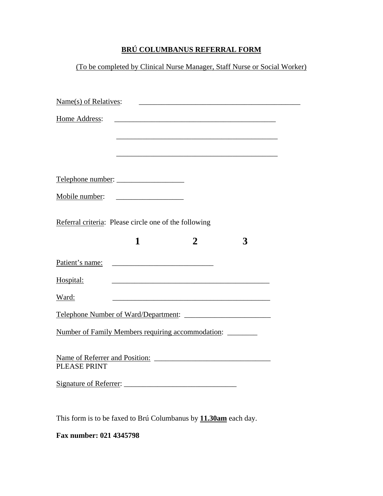## **BRÚ COLUMBANUS REFERRAL FORM**

(To be completed by Clinical Nurse Manager, Staff Nurse or Social Worker)

| Name(s) of Relatives:                                 |                                                                                                                       |   |
|-------------------------------------------------------|-----------------------------------------------------------------------------------------------------------------------|---|
| Home Address:                                         | <u> 1989 - Johann John Stoff, deutscher Stoffen und der Stoffen und der Stoffen und der Stoffen und der Stoffen</u>   |   |
|                                                       |                                                                                                                       |   |
|                                                       | <u> 1989 - Johann Barbara, martxa alemaniar argumento de la contrada de la contrada de la contrada de la contrad</u>  |   |
| Telephone number:                                     |                                                                                                                       |   |
|                                                       |                                                                                                                       |   |
| Referral criteria: Please circle one of the following |                                                                                                                       |   |
| 1                                                     | $\overline{2}$                                                                                                        | 3 |
|                                                       |                                                                                                                       |   |
| Hospital:                                             |                                                                                                                       |   |
| Ward:                                                 | <u> 1989 - Johann Barn, mars ann an t-Amhain an t-Amhain an t-Amhain an t-Amhain an t-Amhain an t-Amhain an t-Amh</u> |   |
|                                                       |                                                                                                                       |   |
| Number of Family Members requiring accommodation:     |                                                                                                                       |   |
|                                                       |                                                                                                                       |   |
| PLEASE PRINT                                          |                                                                                                                       |   |
|                                                       |                                                                                                                       |   |
|                                                       |                                                                                                                       |   |

This form is to be faxed to Brú Columbanus by **11.30am** each day.

**Fax number: 021 4345798**